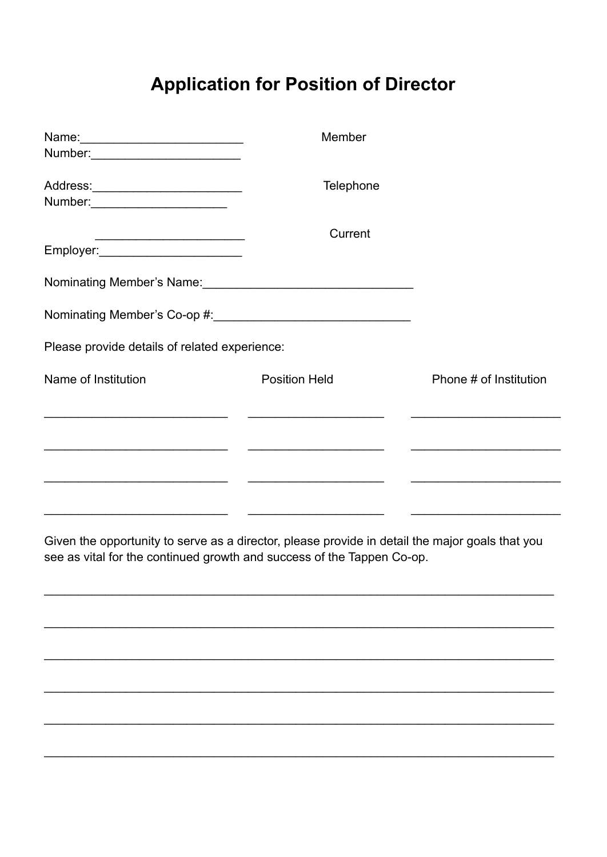## **Application for Position of Director**

| Number: ____________________________                                      | Member               |                        |
|---------------------------------------------------------------------------|----------------------|------------------------|
| Address:____________________________<br>Number: _________________________ | Telephone            |                        |
| Employer:__________________________                                       | Current              |                        |
|                                                                           |                      |                        |
|                                                                           |                      |                        |
| Please provide details of related experience:                             |                      |                        |
| Name of Institution                                                       | <b>Position Held</b> | Phone # of Institution |
|                                                                           |                      |                        |
|                                                                           |                      |                        |
|                                                                           |                      |                        |

Given the opportunity to serve as a director, please provide in detail the major goals that you see as vital for the continued growth and success of the Tappen Co-op.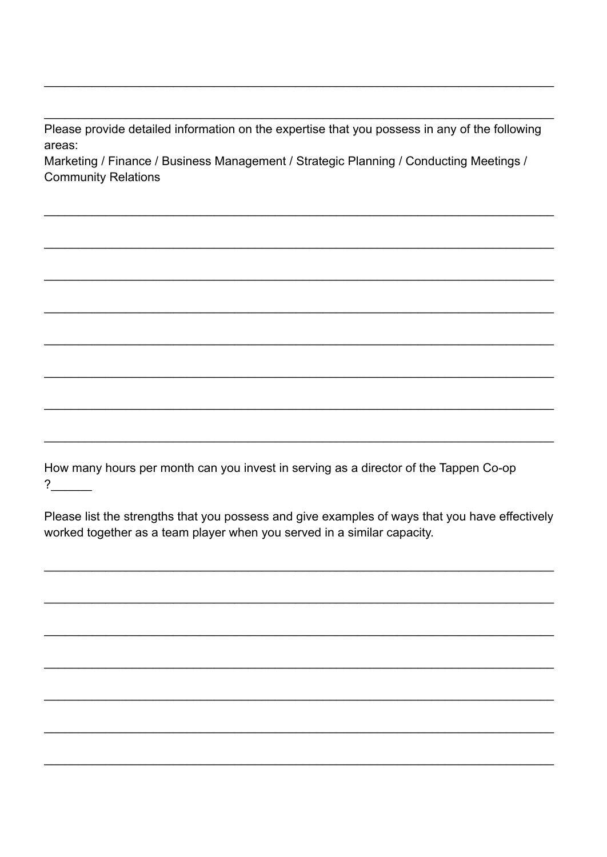Please provide detailed information on the expertise that you possess in any of the following areas:

Marketing / Finance / Business Management / Strategic Planning / Conducting Meetings / **Community Relations** 

How many hours per month can you invest in serving as a director of the Tappen Co-op  $\overline{\mathbf{?}}$ 

Please list the strengths that you possess and give examples of ways that you have effectively worked together as a team player when you served in a similar capacity.